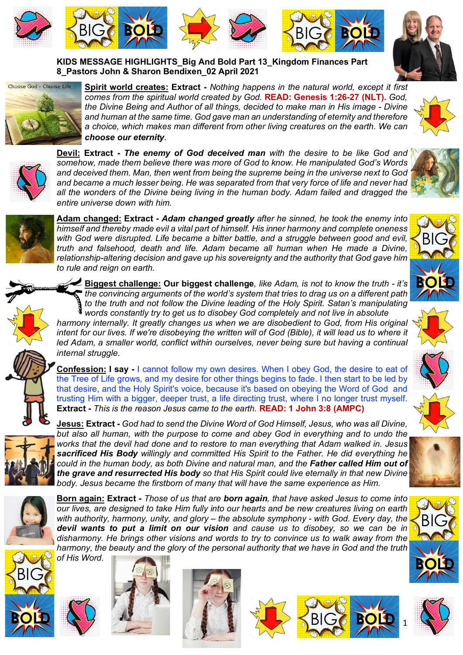











**Spirit world creates: Extract -** *Nothing happens in the natural world, except it first comes from the spiritual world created by God.* **READ: Genesis 1:26-27 (NLT).** *God, the Divine Being and Author of all things, decided to make man in His image - Divine and human at the same time. God gave man an understanding of eternity and therefore a choice, which makes man different from other living creatures on the earth. We can choose our eternity.*





**Devil: Extract -** *The enemy of God deceived man with the desire to be like God and somehow, made them believe there was more of God to know. He manipulated God's Words and deceived them. Man, then went from being the supreme being in the universe next to God and became a much lesser being. He was separated from that very force of life and never had all the wonders of the Divine being living in the human body. Adam failed and dragged the entire universe down with him.* 



**Adam changed: Extract -** *Adam changed greatly after he sinned, he took the enemy into himself and thereby made evil a vital part of himself. His inner harmony and complete oneness with God were disrupted. Life became a bitter battle, and a struggle between good and evil, truth and falsehood, death and life. Adam became all human when He made a Divine, relationship-altering decision and gave up his sovereignty and the authority that God gave him to rule and reign on earth.* 

**Biggest challenge: Our biggest challenge***, like Adam, is not to know the truth - it's the convincing arguments of the world's system that tries to drag us on a different path to the truth and not follow the Divine leading of the Holy Spirit. Satan's manipulating words constantly try to get us to disobey God completely and not live in absolute* 

*harmony internally. It greatly changes us when we are disobedient to God, from His original intent for our lives. If we're disobeying the written will of God (Bible), it will lead us to where it led Adam, a smaller world, conflict within ourselves, never being sure but having a continual internal struggle.*



**Confession: I say -** I cannot follow my own desires. When I obey God, the desire to eat of the Tree of Life grows, and my desire for other things begins to fade. I then start to be led by that desire, and the Holy Spirit's voice, because it's based on obeying the Word of God and trusting Him with a bigger, deeper trust, a life directing trust, where I no longer trust myself. **Extract -** *This is the reason Jesus came to the earth.* **READ: 1 John 3:8 (AMPC)**



**Jesus: Extract -** *God had to send the Divine Word of God Himself, Jesus, who was all Divine, but also all human, with the purpose to come and obey God in everything and to undo the works that the devil had done and to restore to man everything that Adam walked in. Jesus sacrificed His Body willingly and committed His Spirit to the Father. He did everything he could in the human body, as both Divine and natural man, and the Father called Him out of the grave and resurrected His body so that His Spirit could live eternally in that new Divine body. Jesus became the firstborn of many that will have the same experience as Him.* 



**Born again: Extract -** *Those of us that are born again, that have asked Jesus to come into our lives, are designed to take Him fully into our hearts and be new creatures living on earth with authority, harmony, unity, and glory – the absolute symphony - with God. Every day, the devil wants to put a limit on our vision and cause us to disobey, so we can be in disharmony. He brings other visions and words to try to convince us to walk away from the harmony, the beauty and the glory of the personal authority that we have in God and the truth of His Word.* 













BIG

**BOLD**